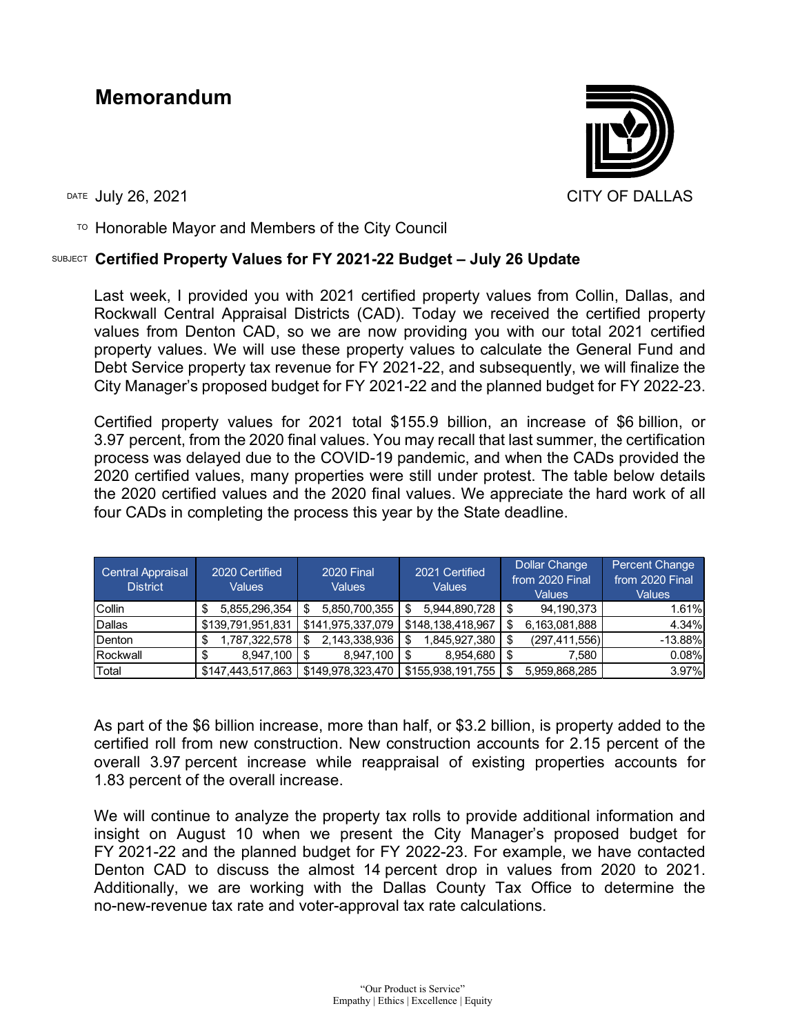## **Memorandum**



 $T$ <sup>O</sup> Honorable Mayor and Members of the City Council

## SUBJECT **Certified Property Values for FY 2021-22 Budget – July 26 Update**

Last week, I provided you with 2021 certified property values from Collin, Dallas, and Rockwall Central Appraisal Districts (CAD). Today we received the certified property values from Denton CAD, so we are now providing you with our total 2021 certified property values. We will use these property values to calculate the General Fund and Debt Service property tax revenue for FY 2021-22, and subsequently, we will finalize the City Manager's proposed budget for FY 2021-22 and the planned budget for FY 2022-23.

Certified property values for 2021 total \$155.9 billion, an increase of \$6 billion, or 3.97 percent, from the 2020 final values. You may recall that last summer, the certification process was delayed due to the COVID-19 pandemic, and when the CADs provided the 2020 certified values, many properties were still under protest. The table below details the 2020 certified values and the 2020 final values. We appreciate the hard work of all four CADs in completing the process this year by the State deadline.

| Central Appraisal<br><b>District</b> | 2020 Certified<br>Values | <b>2020 Final</b><br><b>Values</b> | 2021 Certified<br><b>Values</b> | <b>Dollar Change</b><br>from 2020 Final<br>Values | Percent Change<br>from 2020 Final<br>Values |
|--------------------------------------|--------------------------|------------------------------------|---------------------------------|---------------------------------------------------|---------------------------------------------|
| <b>ICollin</b>                       | 5,855,296,354            | 5,850,700,355<br>S                 | $5,944,890,728$   \$<br>S       | 94,190,373                                        | 1.61%                                       |
| <b>IDallas</b>                       | \$139,791,951,831        | \$141,975,337,079                  | \$148,138,418,967               | 6,163,081,888                                     | 4.34%                                       |
| Denton                               | 1,787,322,578            | 2,143,338,936<br>S                 | 1,845,927,380                   | (297, 411, 556)                                   | $-13.88%$                                   |
| Rockwall                             | 8,947,100                | 8,947,100<br>S                     | 8,954,680                       | 7.580                                             | 0.08%                                       |
| Total                                | \$147,443,517,863        | \$149,978,323,470                  | \$155,938,191,755               | 5,959,868,285                                     | 3.97%                                       |

As part of the \$6 billion increase, more than half, or \$3.2 billion, is property added to the certified roll from new construction. New construction accounts for 2.15 percent of the overall 3.97 percent increase while reappraisal of existing properties accounts for 1.83 percent of the overall increase.

We will continue to analyze the property tax rolls to provide additional information and insight on August 10 when we present the City Manager's proposed budget for FY 2021-22 and the planned budget for FY 2022-23. For example, we have contacted Denton CAD to discuss the almost 14 percent drop in values from 2020 to 2021. Additionally, we are working with the Dallas County Tax Office to determine the no-new-revenue tax rate and voter-approval tax rate calculations.